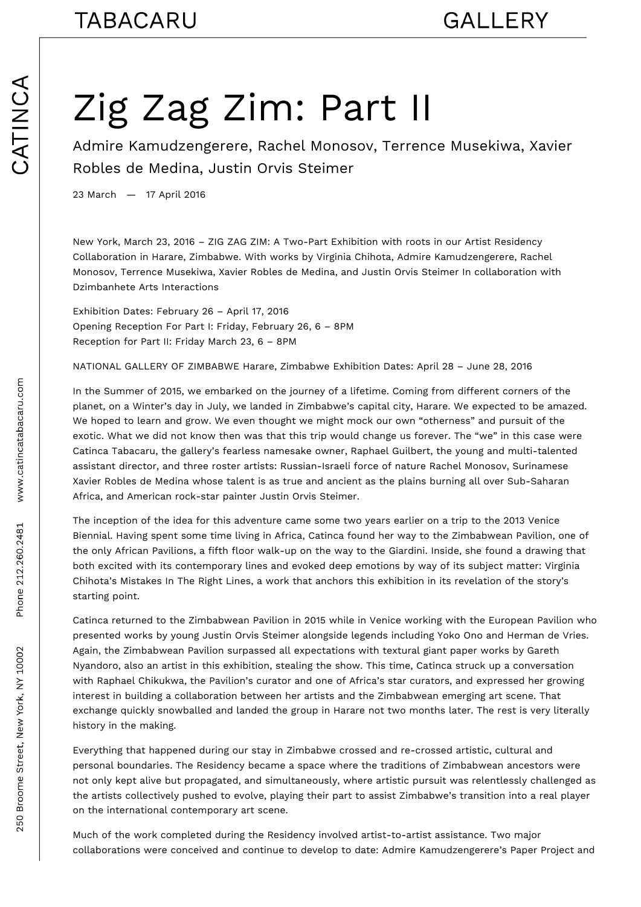## Zig Zag Zim: Part II

Admire Kamudzengerere, Rachel Monosov, Terrence Musekiwa, Xavier Robles de Medina, Justin Orvis Steimer

23 March — 17 April 2016

New York, March 23, 2016 – ZIG ZAG ZIM: A Two-Part Exhibition with roots in our Artist Residency Collaboration in Harare, Zimbabwe. With works by Virginia Chihota, Admire Kamudzengerere, Rachel Monosov, Terrence Musekiwa, Xavier Robles de Medina, and Justin Orvis Steimer In collaboration with Dzimbanhete Arts Interactions

Exhibition Dates: February 26 – April 17, 2016 Opening Reception For Part I: Friday, February 26, 6 – 8PM Reception for Part II: Friday March 23, 6 – 8PM

NATIONAL GALLERY OF ZIMBABWE Harare, Zimbabwe Exhibition Dates: April 28 – June 28, 2016

In the Summer of 2015, we embarked on the journey of a lifetime. Coming from different corners of the planet, on a Winter's day in July, we landed in Zimbabwe's capital city, Harare. We expected to be amazed. We hoped to learn and grow. We even thought we might mock our own "otherness" and pursuit of the exotic. What we did not know then was that this trip would change us forever. The "we" in this case were Catinca Tabacaru, the gallery's fearless namesake owner, Raphael Guilbert, the young and multi-talented assistant director, and three roster artists: Russian-Israeli force of nature Rachel Monosov, Surinamese Xavier Robles de Medina whose talent is as true and ancient as the plains burning all over Sub-Saharan Africa, and American rock-star painter Justin Orvis Steimer.

The inception of the idea for this adventure came some two years earlier on a trip to the 2013 Venice Biennial. Having spent some time living in Africa, Catinca found her way to the Zimbabwean Pavilion, one of the only African Pavilions, a fifth floor walk-up on the way to the Giardini. Inside, she found a drawing that both excited with its contemporary lines and evoked deep emotions by way of its subject matter: Virginia Chihota's Mistakes In The Right Lines, a work that anchors this exhibition in its revelation of the story's starting point.

Catinca returned to the Zimbabwean Pavilion in 2015 while in Venice working with the European Pavilion who presented works by young Justin Orvis Steimer alongside legends including Yoko Ono and Herman de Vries. Again, the Zimbabwean Pavilion surpassed all expectations with textural giant paper works by Gareth Nyandoro, also an artist in this exhibition, stealing the show. This time, Catinca struck up a conversation with Raphael Chikukwa, the Pavilion's curator and one of Africa's star curators, and expressed her growing interest in building a collaboration between her artists and the Zimbabwean emerging art scene. That exchange quickly snowballed and landed the group in Harare not two months later. The rest is very literally history in the making.

Everything that happened during our stay in Zimbabwe crossed and re-crossed artistic, cultural and personal boundaries. The Residency became a space where the traditions of Zimbabwean ancestors were not only kept alive but propagated, and simultaneously, where artistic pursuit was relentlessly challenged as the artists collectively pushed to evolve, playing their part to assist Zimbabwe's transition into a real player on the international contemporary art scene.

Much of the work completed during the Residency involved artist-to-artist assistance. Two major collaborations were conceived and continue to develop to date: Admire Kamudzengerere's Paper Project and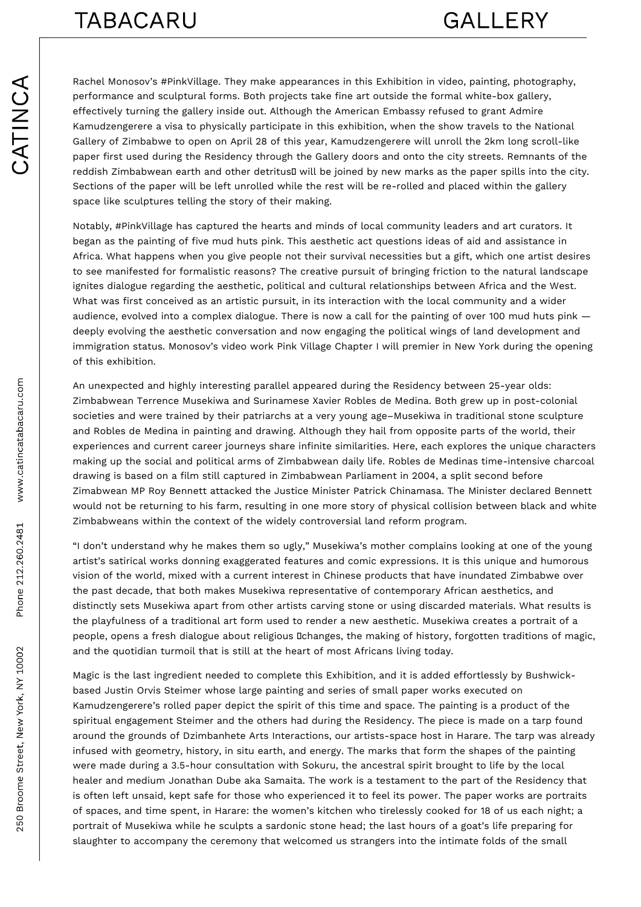Rachel Monosov's #PinkVillage. They make appearances in this Exhibition in video, painting, photography, performance and sculptural forms. Both projects take fine art outside the formal white-box gallery, effectively turning the gallery inside out. Although the American Embassy refused to grant Admire Kamudzengerere a visa to physically participate in this exhibition, when the show travels to the National Gallery of Zimbabwe to open on April 28 of this year, Kamudzengerere will unroll the 2km long scroll-like paper first used during the Residency through the Gallery doors and onto the city streets. Remnants of the reddish Zimbabwean earth and other detritus I will be joined by new marks as the paper spills into the city. Sections of the paper will be left unrolled while the rest will be re-rolled and placed within the gallery space like sculptures telling the story of their making.

Notably, #PinkVillage has captured the hearts and minds of local community leaders and art curators. It began as the painting of five mud huts pink. This aesthetic act questions ideas of aid and assistance in Africa. What happens when you give people not their survival necessities but a gift, which one artist desires to see manifested for formalistic reasons? The creative pursuit of bringing friction to the natural landscape ignites dialogue regarding the aesthetic, political and cultural relationships between Africa and the West. What was first conceived as an artistic pursuit, in its interaction with the local community and a wider audience, evolved into a complex dialogue. There is now a call for the painting of over 100 mud huts pink deeply evolving the aesthetic conversation and now engaging the political wings of land development and immigration status. Monosov's video work Pink Village Chapter I will premier in New York during the opening of this exhibition.

An unexpected and highly interesting parallel appeared during the Residency between 25-year olds: Zimbabwean Terrence Musekiwa and Surinamese Xavier Robles de Medina. Both grew up in post-colonial societies and were trained by their patriarchs at a very young age–Musekiwa in traditional stone sculpture and Robles de Medina in painting and drawing. Although they hail from opposite parts of the world, their experiences and current career journeys share infinite similarities. Here, each explores the unique characters making up the social and political arms of Zimbabwean daily life. Robles de Medinas time-intensive charcoal drawing is based on a film still captured in Zimbabwean Parliament in 2004, a split second before Zimabwean MP Roy Bennett attacked the Justice Minister Patrick Chinamasa. The Minister declared Bennett would not be returning to his farm, resulting in one more story of physical collision between black and white Zimbabweans within the context of the widely controversial land reform program.

"I don't understand why he makes them so ugly," Musekiwa's mother complains looking at one of the young artist's satirical works donning exaggerated features and comic expressions. It is this unique and humorous vision of the world, mixed with a current interest in Chinese products that have inundated Zimbabwe over the past decade, that both makes Musekiwa representative of contemporary African aesthetics, and distinctly sets Musekiwa apart from other artists carving stone or using discarded materials. What results is the playfulness of a traditional art form used to render a new aesthetic. Musekiwa creates a portrait of a people, opens a fresh dialogue about religious Dchanges, the making of history, forgotten traditions of magic, and the quotidian turmoil that is still at the heart of most Africans living today.

Magic is the last ingredient needed to complete this Exhibition, and it is added effortlessly by Bushwickbased Justin Orvis Steimer whose large painting and series of small paper works executed on Kamudzengerere's rolled paper depict the spirit of this time and space. The painting is a product of the spiritual engagement Steimer and the others had during the Residency. The piece is made on a tarp found around the grounds of Dzimbanhete Arts Interactions, our artists-space host in Harare. The tarp was already infused with geometry, history, in situ earth, and energy. The marks that form the shapes of the painting were made during a 3.5-hour consultation with Sokuru, the ancestral spirit brought to life by the local healer and medium Jonathan Dube aka Samaita. The work is a testament to the part of the Residency that is often left unsaid, kept safe for those who experienced it to feel its power. The paper works are portraits of spaces, and time spent, in Harare: the women's kitchen who tirelessly cooked for 18 of us each night; a portrait of Musekiwa while he sculpts a sardonic stone head; the last hours of a goat's life preparing for slaughter to accompany the ceremony that welcomed us strangers into the intimate folds of the small